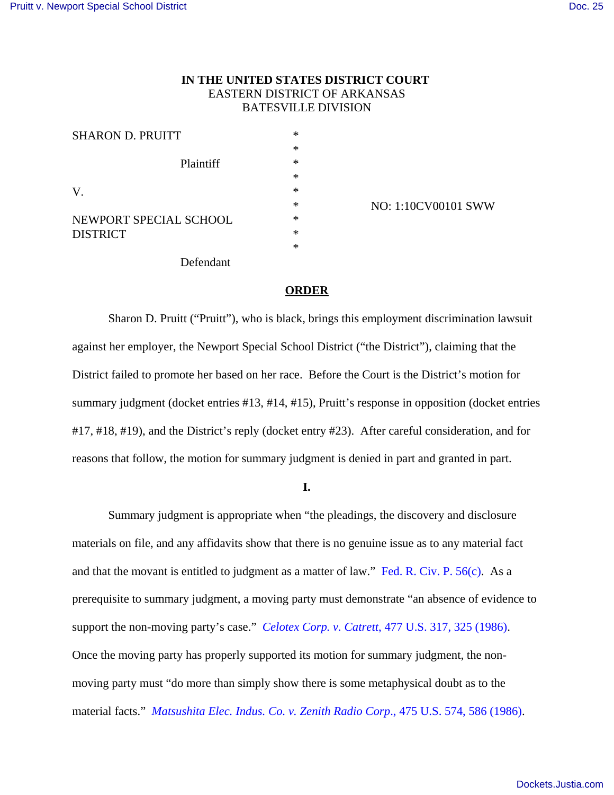## **IN THE UNITED STATES DISTRICT COURT**  EASTERN DISTRICT OF ARKANSAS BATESVILLE DIVISION

| <b>SHARON D. PRUITT</b> | *      |
|-------------------------|--------|
|                         | $\ast$ |
| Plaintiff               | $\ast$ |
|                         | $\ast$ |
| V.                      | $\ast$ |
|                         | $\ast$ |
| NEWPORT SPECIAL SCHOOL  | $\ast$ |
| <b>DISTRICT</b>         | $\ast$ |
|                         | *      |
| Defendant               |        |

NO: 1:10CV00101 SWW

# **ORDER**

Sharon D. Pruitt ("Pruitt"), who is black, brings this employment discrimination lawsuit against her employer, the Newport Special School District ("the District"), claiming that the District failed to promote her based on her race. Before the Court is the District's motion for summary judgment (docket entries #13, #14, #15), Pruitt's response in opposition (docket entries #17, #18, #19), and the District's reply (docket entry #23). After careful consideration, and for reasons that follow, the motion for summary judgment is denied in part and granted in part.

**I.**

Summary judgment is appropriate when "the pleadings, the discovery and disclosure materials on file, and any affidavits show that there is no genuine issue as to any material fact and that the movant is entitled to judgment as a matter of law." Fed. R. Civ. P. 56(c). As a prerequisite to summary judgment, a moving party must demonstrate "an absence of evidence to support the non-moving party's case." *Celotex Corp. v. Catrett*, 477 U.S. 317, 325 (1986). Once the moving party has properly supported its motion for summary judgment, the nonmoving party must "do more than simply show there is some metaphysical doubt as to the material facts." *Matsushita Elec. Indus. Co. v. Zenith Radio Corp*., 475 U.S. 574, 586 (1986).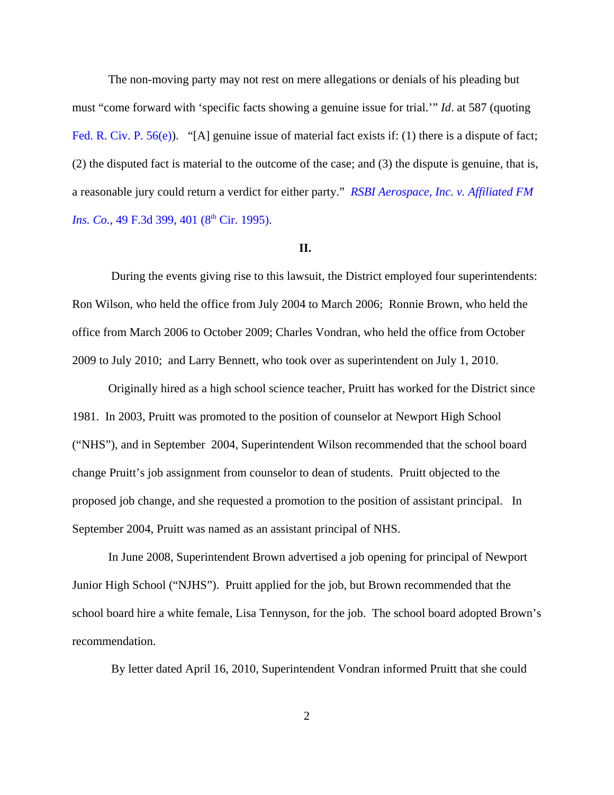The non-moving party may not rest on mere allegations or denials of his pleading but must "come forward with 'specific facts showing a genuine issue for trial.'" *Id*. at 587 (quoting Fed. R. Civ. P. 56(e)). "[A] genuine issue of material fact exists if: (1) there is a dispute of fact; (2) the disputed fact is material to the outcome of the case; and (3) the dispute is genuine, that is, a reasonable jury could return a verdict for either party." *RSBI Aerospace, Inc. v. Affiliated FM Ins. Co.*, 49 F.3d 399, 401 (8<sup>th</sup> Cir. 1995).

#### **II.**

 During the events giving rise to this lawsuit, the District employed four superintendents: Ron Wilson, who held the office from July 2004 to March 2006; Ronnie Brown, who held the office from March 2006 to October 2009; Charles Vondran, who held the office from October 2009 to July 2010; and Larry Bennett, who took over as superintendent on July 1, 2010.

Originally hired as a high school science teacher, Pruitt has worked for the District since 1981. In 2003, Pruitt was promoted to the position of counselor at Newport High School ("NHS"), and in September 2004, Superintendent Wilson recommended that the school board change Pruitt's job assignment from counselor to dean of students. Pruitt objected to the proposed job change, and she requested a promotion to the position of assistant principal. In September 2004, Pruitt was named as an assistant principal of NHS.

In June 2008, Superintendent Brown advertised a job opening for principal of Newport Junior High School ("NJHS"). Pruitt applied for the job, but Brown recommended that the school board hire a white female, Lisa Tennyson, for the job. The school board adopted Brown's recommendation.

By letter dated April 16, 2010, Superintendent Vondran informed Pruitt that she could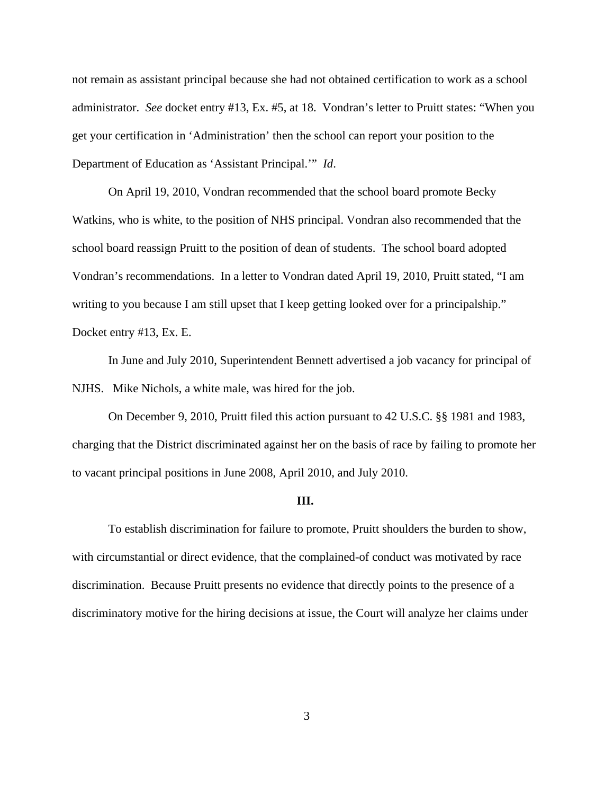not remain as assistant principal because she had not obtained certification to work as a school administrator. *See* docket entry #13, Ex. #5, at 18. Vondran's letter to Pruitt states: "When you get your certification in 'Administration' then the school can report your position to the Department of Education as 'Assistant Principal.'" *Id*.

On April 19, 2010, Vondran recommended that the school board promote Becky Watkins, who is white, to the position of NHS principal. Vondran also recommended that the school board reassign Pruitt to the position of dean of students. The school board adopted Vondran's recommendations. In a letter to Vondran dated April 19, 2010, Pruitt stated, "I am writing to you because I am still upset that I keep getting looked over for a principalship." Docket entry #13, Ex. E.

In June and July 2010, Superintendent Bennett advertised a job vacancy for principal of NJHS. Mike Nichols, a white male, was hired for the job.

On December 9, 2010, Pruitt filed this action pursuant to 42 U.S.C. §§ 1981 and 1983, charging that the District discriminated against her on the basis of race by failing to promote her to vacant principal positions in June 2008, April 2010, and July 2010.

#### **III.**

To establish discrimination for failure to promote, Pruitt shoulders the burden to show, with circumstantial or direct evidence, that the complained-of conduct was motivated by race discrimination. Because Pruitt presents no evidence that directly points to the presence of a discriminatory motive for the hiring decisions at issue, the Court will analyze her claims under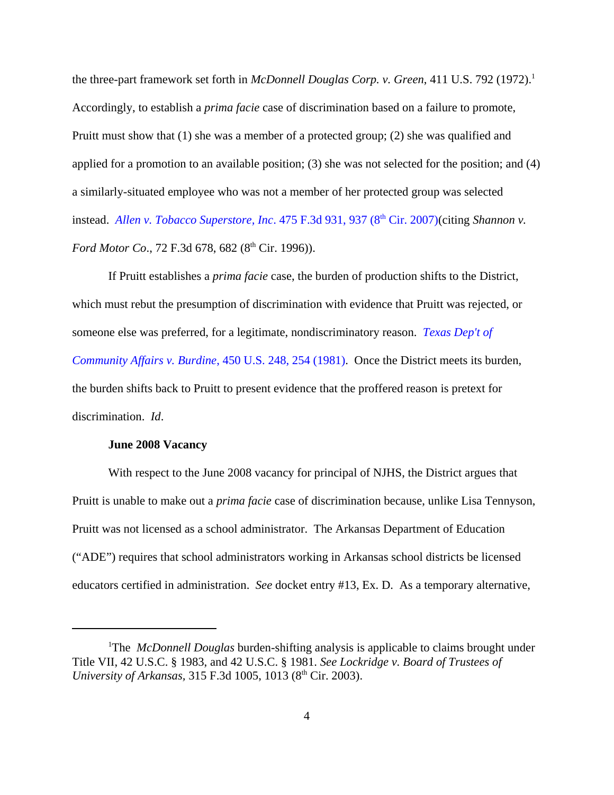the three-part framework set forth in *McDonnell Douglas Corp. v. Green*, 411 U.S. 792 (1972).<sup>1</sup> Accordingly, to establish a *prima facie* case of discrimination based on a failure to promote, Pruitt must show that (1) she was a member of a protected group; (2) she was qualified and applied for a promotion to an available position; (3) she was not selected for the position; and (4) a similarly-situated employee who was not a member of her protected group was selected instead. *Allen v. Tobacco Superstore, Inc.* 475 F.3d 931, 937 (8<sup>th</sup> Cir. 2007)(citing *Shannon v. Ford Motor Co.*, 72 F.3d 678, 682 (8<sup>th</sup> Cir. 1996)).

If Pruitt establishes a *prima facie* case, the burden of production shifts to the District, which must rebut the presumption of discrimination with evidence that Pruitt was rejected, or someone else was preferred, for a legitimate, nondiscriminatory reason. *Texas Dep't of Community Affairs v. Burdine*, 450 U.S. 248, 254 (1981). Once the District meets its burden, the burden shifts back to Pruitt to present evidence that the proffered reason is pretext for discrimination. *Id*.

### **June 2008 Vacancy**

With respect to the June 2008 vacancy for principal of NJHS, the District argues that Pruitt is unable to make out a *prima facie* case of discrimination because, unlike Lisa Tennyson, Pruitt was not licensed as a school administrator. The Arkansas Department of Education ("ADE") requires that school administrators working in Arkansas school districts be licensed educators certified in administration. *See* docket entry #13, Ex. D. As a temporary alternative,

<sup>&</sup>lt;sup>1</sup>The *McDonnell Douglas* burden-shifting analysis is applicable to claims brought under Title VII, 42 U.S.C. § 1983, and 42 U.S.C. § 1981. *See Lockridge v. Board of Trustees of University of Arkansas, 315 F.3d 1005, 1013 (8<sup>th</sup> Cir. 2003).*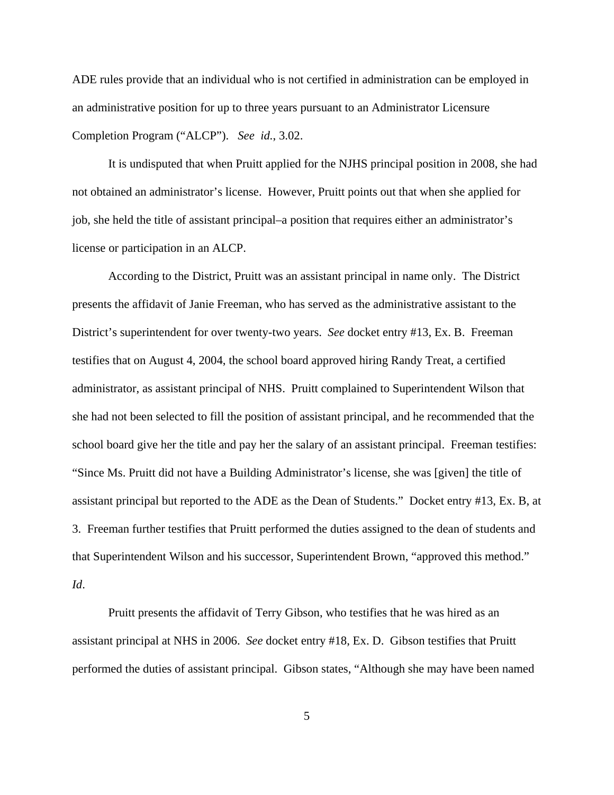ADE rules provide that an individual who is not certified in administration can be employed in an administrative position for up to three years pursuant to an Administrator Licensure Completion Program ("ALCP"). *See id.*, 3.02.

It is undisputed that when Pruitt applied for the NJHS principal position in 2008, she had not obtained an administrator's license. However, Pruitt points out that when she applied for job, she held the title of assistant principal–a position that requires either an administrator's license or participation in an ALCP.

According to the District, Pruitt was an assistant principal in name only. The District presents the affidavit of Janie Freeman, who has served as the administrative assistant to the District's superintendent for over twenty-two years. *See* docket entry #13, Ex. B. Freeman testifies that on August 4, 2004, the school board approved hiring Randy Treat, a certified administrator, as assistant principal of NHS. Pruitt complained to Superintendent Wilson that she had not been selected to fill the position of assistant principal, and he recommended that the school board give her the title and pay her the salary of an assistant principal. Freeman testifies: "Since Ms. Pruitt did not have a Building Administrator's license, she was [given] the title of assistant principal but reported to the ADE as the Dean of Students." Docket entry #13, Ex. B, at 3. Freeman further testifies that Pruitt performed the duties assigned to the dean of students and that Superintendent Wilson and his successor, Superintendent Brown, "approved this method." *Id*.

Pruitt presents the affidavit of Terry Gibson, who testifies that he was hired as an assistant principal at NHS in 2006. *See* docket entry #18, Ex. D. Gibson testifies that Pruitt performed the duties of assistant principal. Gibson states, "Although she may have been named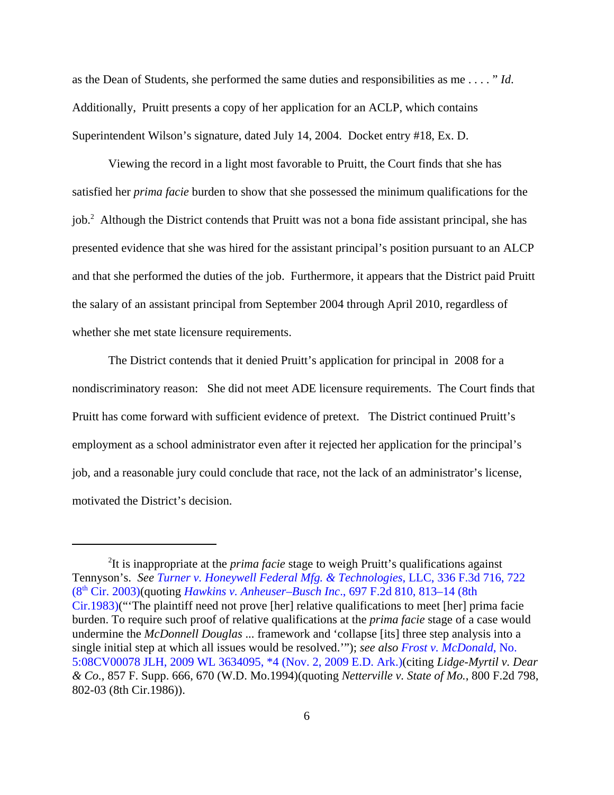as the Dean of Students, she performed the same duties and responsibilities as me . . . . " *Id*. Additionally, Pruitt presents a copy of her application for an ACLP, which contains Superintendent Wilson's signature, dated July 14, 2004. Docket entry #18, Ex. D.

Viewing the record in a light most favorable to Pruitt, the Court finds that she has satisfied her *prima facie* burden to show that she possessed the minimum qualifications for the job.<sup>2</sup> Although the District contends that Pruitt was not a bona fide assistant principal, she has presented evidence that she was hired for the assistant principal's position pursuant to an ALCP and that she performed the duties of the job. Furthermore, it appears that the District paid Pruitt the salary of an assistant principal from September 2004 through April 2010, regardless of whether she met state licensure requirements.

The District contends that it denied Pruitt's application for principal in 2008 for a nondiscriminatory reason: She did not meet ADE licensure requirements. The Court finds that Pruitt has come forward with sufficient evidence of pretext. The District continued Pruitt's employment as a school administrator even after it rejected her application for the principal's job, and a reasonable jury could conclude that race, not the lack of an administrator's license, motivated the District's decision.

<sup>2</sup> It is inappropriate at the *prima facie* stage to weigh Pruitt's qualifications against Tennyson's. *See Turner v. Honeywell Federal Mfg. & Technologies*, LLC, 336 F.3d 716, 722 (8th Cir. 2003)(quoting *Hawkins v. Anheuser–Busch Inc*., 697 F.2d 810, 813–14 (8th Cir.1983)("'The plaintiff need not prove [her] relative qualifications to meet [her] prima facie burden. To require such proof of relative qualifications at the *prima facie* stage of a case would undermine the *McDonnell Douglas* ... framework and 'collapse [its] three step analysis into a single initial step at which all issues would be resolved.'"); *see also Frost v. McDonald*, No. 5:08CV00078 JLH, 2009 WL 3634095, \*4 (Nov. 2, 2009 E.D. Ark.)(citing *Lidge-Myrtil v. Dear & Co.*, 857 F. Supp. 666, 670 (W.D. Mo.1994)(quoting *Netterville v. State of Mo.*, 800 F.2d 798, 802-03 (8th Cir.1986)).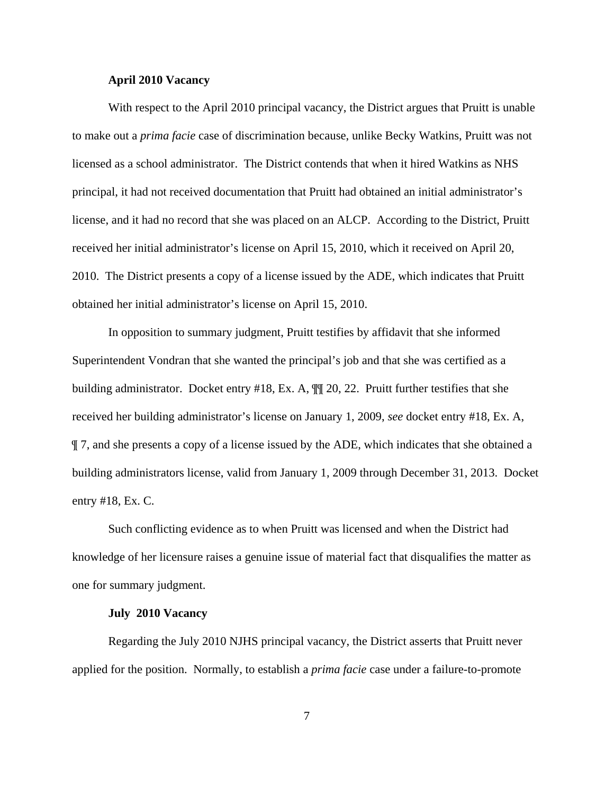#### **April 2010 Vacancy**

With respect to the April 2010 principal vacancy, the District argues that Pruitt is unable to make out a *prima facie* case of discrimination because, unlike Becky Watkins, Pruitt was not licensed as a school administrator. The District contends that when it hired Watkins as NHS principal, it had not received documentation that Pruitt had obtained an initial administrator's license, and it had no record that she was placed on an ALCP. According to the District, Pruitt received her initial administrator's license on April 15, 2010, which it received on April 20, 2010. The District presents a copy of a license issued by the ADE, which indicates that Pruitt obtained her initial administrator's license on April 15, 2010.

In opposition to summary judgment, Pruitt testifies by affidavit that she informed Superintendent Vondran that she wanted the principal's job and that she was certified as a building administrator. Docket entry #18, Ex. A, ¶¶ 20, 22. Pruitt further testifies that she received her building administrator's license on January 1, 2009, *see* docket entry #18, Ex. A, ¶ 7, and she presents a copy of a license issued by the ADE, which indicates that she obtained a building administrators license, valid from January 1, 2009 through December 31, 2013. Docket entry #18, Ex. C.

Such conflicting evidence as to when Pruitt was licensed and when the District had knowledge of her licensure raises a genuine issue of material fact that disqualifies the matter as one for summary judgment.

## **July 2010 Vacancy**

Regarding the July 2010 NJHS principal vacancy, the District asserts that Pruitt never applied for the position. Normally, to establish a *prima facie* case under a failure-to-promote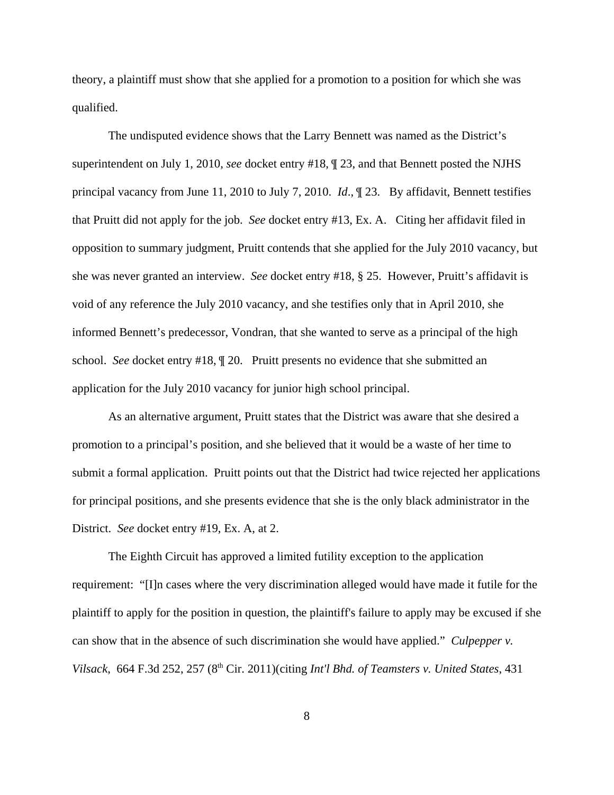theory, a plaintiff must show that she applied for a promotion to a position for which she was qualified.

The undisputed evidence shows that the Larry Bennett was named as the District's superintendent on July 1, 2010, *see* docket entry #18, ¶ 23, and that Bennett posted the NJHS principal vacancy from June 11, 2010 to July 7, 2010. *Id*., ¶ 23. By affidavit, Bennett testifies that Pruitt did not apply for the job. *See* docket entry #13, Ex. A. Citing her affidavit filed in opposition to summary judgment, Pruitt contends that she applied for the July 2010 vacancy, but she was never granted an interview. *See* docket entry #18, § 25. However, Pruitt's affidavit is void of any reference the July 2010 vacancy, and she testifies only that in April 2010, she informed Bennett's predecessor, Vondran, that she wanted to serve as a principal of the high school. *See* docket entry #18, ¶ 20. Pruitt presents no evidence that she submitted an application for the July 2010 vacancy for junior high school principal.

As an alternative argument, Pruitt states that the District was aware that she desired a promotion to a principal's position, and she believed that it would be a waste of her time to submit a formal application. Pruitt points out that the District had twice rejected her applications for principal positions, and she presents evidence that she is the only black administrator in the District. *See* docket entry #19, Ex. A, at 2.

The Eighth Circuit has approved a limited futility exception to the application requirement: "[I]n cases where the very discrimination alleged would have made it futile for the plaintiff to apply for the position in question, the plaintiff's failure to apply may be excused if she can show that in the absence of such discrimination she would have applied." *Culpepper v. Vilsack*, 664 F.3d 252, 257 (8th Cir. 2011)(citing *Int'l Bhd. of Teamsters v. United States*, 431